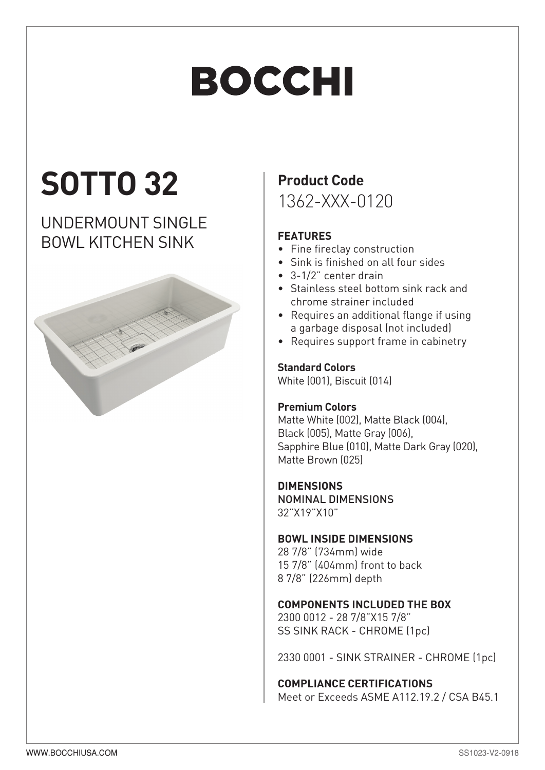# **BOCCHI**

## **SOTTO 32**

### UNDERMOUNT SINGLE BOWL KITCHEN SINK



## **Product Code**

1362-XXX-0120

#### **FEATURES**

- Fine fireclay construction
- Sink is finished on all four sides
- 3-1/2" center drain
- Stainless steel bottom sink rack and chrome strainer included
- Requires an additional flange if using a garbage disposal (not included)
- Requires support frame in cabinetry

#### **Standard Colors**

White (001), Biscuit (014)

#### **Premium Colors**

Matte White (002), Matte Black (004), Black (005), Matte Gray (006), Sapphire Blue (010), Matte Dark Grav (020). Matte Brown (025)

#### **DIMENSIONS**

NOMINAL DIMENSIONS 32"X19"X10"

#### **BOWL INSIDE DIMENSIONS**

28 7/8" (734mm) wide 15 7/8" (404mm) front to back 8 7/8" (226mm) depth

#### **COMPONENTS INCLUDED THE BOX**

2300 0012 - 28 7/8"X15 7/8" SS SINK RACK - CHROME [1pc]

2330 0001 - SINK STRAINER - CHROME [1pc]

#### **COMPLIANCE CERTIFICATIONS**

Meet or Exceeds ASME A112.19.2 / CSA B45.1